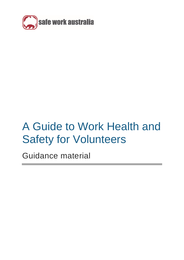

# A Guide to Work Health and Safety for Volunteers

Guidance material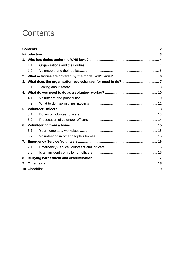## <span id="page-1-0"></span>**Contents**

|    | 1.1. |  |  |
|----|------|--|--|
|    | 1.2. |  |  |
| 2. |      |  |  |
| 3. |      |  |  |
|    | 3.1. |  |  |
|    |      |  |  |
|    | 4.1. |  |  |
|    | 4.2. |  |  |
|    |      |  |  |
|    | 5.1. |  |  |
|    | 5.2. |  |  |
|    |      |  |  |
|    | 6.1. |  |  |
|    | 6.2. |  |  |
| 7. |      |  |  |
|    | 7.1. |  |  |
|    | 7.2. |  |  |
| 8. |      |  |  |
| 9. |      |  |  |
|    |      |  |  |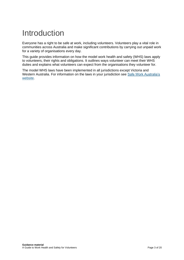## <span id="page-2-0"></span>Introduction

Everyone has a right to be safe at work, including volunteers. Volunteers play a vital role in communities across Australia and make significant contributions by carrying out unpaid work for a variety of organisations every day.

This guide provides information on how the model work health and safety (WHS) laws apply to volunteers, their rights and obligations. It outlines ways volunteer can meet their WHS duties and explains what volunteers can expect from the organisations they volunteer for.

The model WHS laws have been implemented in all jurisdictions except Victoria and Western Australia. For information on the laws in your jurisdiction see Safe Work Australia's [website.](https://www.safeworkaustralia.gov.au/law-and-regulation)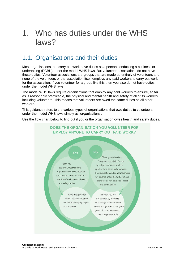## <span id="page-3-0"></span>1. Who has duties under the WHS laws?

### <span id="page-3-1"></span>1.1. Organisations and their duties

Most organisations that carry out work have duties as a person conducting a business or undertaking (PCBU) under the model WHS laws. But volunteer associations do not have those duties. Volunteer associations are groups that are made up entirely of volunteers and none of the volunteers or the association itself employs any paid workers to carry out work for the association. If you volunteer for a group like this then you also do not have duties under the model WHS laws.

The model WHS laws require organisations that employ any paid workers to ensure, so far as is reasonably practicable, the physical and mental health and safety of all of its workers, including volunteers. This means that volunteers are owed the same duties as all other workers.

This guidance refers to the various types of organisations that owe duties to volunteers under the model WHS laws simply as 'organisations'.

Use the flow chart below to find out if you or the organisation owes health and safety duties.

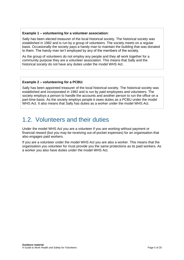#### **Example 1 – volunteering for a volunteer association:**

Sally has been elected treasurer of the local historical society. The historical society was established in 1982 and is run by a group of volunteers. The society meets on a regular basis. Occasionally the society pays a handy man to maintain the building that was donated to them. The handy man isn't employed by any of the members of the society.

As the group of volunteers do not employ any people and they all work together for a community purpose they are a volunteer association. This means that Sally and the historical society do not have any duties under the model WHS Act.

#### **Example 2 – volunteering for a PCBU:**

Sally has been appointed treasurer of the local historical society. The historical society was established and incorporated in 1982 and is run by paid employees and volunteers. The society employs a person to handle the accounts and another person to run the office on a part-time basis. As the society employs people it owes duties as a PCBU under the model WHS Act. It also means that Sally has duties as a worker under the model WHS Act.

### <span id="page-4-0"></span>1.2. Volunteers and their duties

Under the model WHS Act you are a volunteer if you are working without payment or financial reward (but you may be receiving out-of-pocket expenses) for an organisation that also engages paid workers.

If you are a volunteer under the model WHS Act you are also a worker. This means that the organisation you volunteer for must provide you the same protections as its paid workers. As a worker you also have duties under the model WHS Act.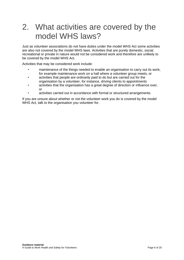## <span id="page-5-0"></span>2. What activities are covered by the model WHS laws?

Just as volunteer associations do not have duties under the model WHS Act some activities are also not covered by the model WHS laws. Activities that are purely domestic, social, recreational or private in nature would not be considered work and therefore are unlikely to be covered by the model WHS Act.

Activities that may be considered work include:

- maintenance of the things needed to enable an organisation to carry out its work, for example maintenance work on a hall where a volunteer group meets, or
- activities that people are ordinarily paid to do but are carried out for the organisation by a volunteer, for instance, driving clients to appointments
- activities that the organisation has a great degree of direction or influence over, or
- activities carried out in accordance with formal or structured arrangements.

If you are unsure about whether or not the volunteer work you do is covered by the model WHS Act, talk to the organisation you volunteer for.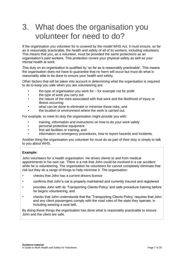## <span id="page-6-0"></span>3. What does the organisation you volunteer for need to do?

If the organisation you volunteer for is covered by the model WHS Act, it must ensure, so far as is reasonably practicable, the health and safety of all of its workers, including volunteers. This means that you, as a volunteer, must be provided the same protections as an organisation's paid workers. This protection covers your physical safety as well as your mental health at work.

This duty on an organisation is qualified by 'so far as is reasonably practicable'. This means the organisation does not have to guarantee that no harm will occur but must do what is reasonably able to be done to ensure your health and safety.

Other factors that will be taken into account in determining what the organisation is required to do to keep you safe when you are volunteering are:

- the type of organisation you work for  $-$  for example not for profit
- the type of work you carry out
- the nature of the risks associated with that work and the likelihood of injury or illness occurring
- what can be done to eliminate or minimise those risks, and
- the location or environment where the work is carried out.

For example, to meet its duty the organisation might provide you with:

- training, information and instructions on how to do your work safely
- personal protective equipment
- first aid facilities or training, and
- information on emergency procedures, how to report hazards and incidents.

Another thing the organisation you volunteer for must do as part of their duty is simply to talk to you about WHS.

#### **Example:**

John volunteers for a health organisation. He drives clients to and from medical appointments in his own car. There is a risk that John could be involved in a car accident while he is volunteering. The organisation he volunteers for cannot completely eliminate that risk but they do a range of things to help minimise it. The organisation:

- checks that John has a current drivers licence
- confirms that John's car is properly maintained and currently insured and registered
- provides John with its 'Transporting Clients Policy' and safe procedure training before he begins volunteering, and
- checks that John understands that the 'Transporting Clients Policy' requires that John and any client passengers comply with the road rules of the state they operate, in including wearing a seat belt.

By doing these things the organisation has done what is reasonably practicable to ensure John and the client are safe.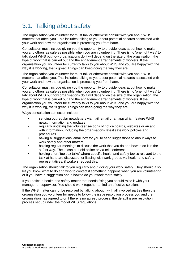### <span id="page-7-0"></span>3.1. Talking about safety

The organisation you volunteer for must talk or otherwise consult with you about WHS matters that affect you. This includes talking to you about potential hazards associated with your work and how the organisation is protecting you from harm.

Consultation must include giving you the opportunity to provide ideas about how to make you and others as safe as possible when you are volunteering. There is no 'one right way' to talk about WHS but how organisations do it will depend on the size of the organisation, the type of work that is carried out and the engagement arrangements of workers. If the organisation you volunteer for currently talks to you about WHS and you are happy with the way it is working, that's great! Things can keep going the way they are.

The organisation you volunteer for must talk or otherwise consult with you about WHS matters that affect you. This includes talking to you about potential hazards associated with your work and how the organisation is protecting you from harm.

Consultation must include giving you the opportunity to provide ideas about how to make you and others as safe as possible when you are volunteering. There is no 'one right way' to talk about WHS but how organisations do it will depend on the size of the organisation, the type of work that is carried out and the engagement arrangements of workers. If the organisation you volunteer for currently talks to you about WHS and you are happy with the way it is working, that's great! Things can keep going the way they are.

Ways consultation can occur include:

- sending out regular newsletters via mail, email or an app which feature WHS news, information and updates
- regularly updating the volunteer sections of notice boards, websites or an app with information, including the organisations latest safe work policies and procedures
- having a 'suggestions' email box for you to send suggestions to about ways to work safely and other matters
- holding regular meetings to discuss the work that you do and how to do it in the safest way. These can be held online or via teleconference,
- holding short 'toolbox talks' where specific health and safety topics relevant to the task at hand are discussed, or liaising with work groups via health and safety representatives, if workers request this.

The organisation should talk to you regularly about doing your work safely. They should also let you know what to do and who to contact if something happens when you are volunteering or if you have a suggestion about how to do your work more safely.

If you notice a health and safety matter that needs fixing you should raise it with your manager or supervisor. You should work together to find an effective solution.

If the WHS matter cannot be resolved by talking about it with all involved parties then the organisation you volunteer for needs to follow the issue resolution process you and the organisation has agreed to or if there is no agreed process, the default issue resolution process set up under the model WHS regulations.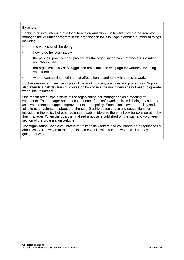#### **Example:**

Sophie starts volunteering at a local health organisation. On her first day the person who manages the volunteer program in the organisation talks to Sophie about a number of things including:

- the work she will be doing
- how to do her work safely
- the policies, practices and procedures the organisation has that workers, including volunteers, use
- the organisation's WHS suggestion email box and webpage for workers, including volunteers, and
- who to contact if something that affects health and safety happens at work.

Sophie's manager gives her copies of the work policies, practices and procedures. Sophie also attends a half day training course on how to use the machinery she will need to operate when she volunteers.

One month after Sophie starts at the organisation her manager holds a meeting of volunteers. The manager announces that one of the safe work policies is being revised and asks volunteers to suggest improvements to the policy. Sophie looks over the policy and talks to other volunteers about the changes. Sophie doesn't have any suggestions for inclusion in the policy but other volunteers submit ideas to the email box for consideration by their manager. When the policy is finalised a notice is published on the staff and volunteer section of the organisation website.

The organisation Sophie volunteers for talks to its workers and volunteers on a regular basis about WHS. The way that the organisation consults with workers works well so they keep going that way.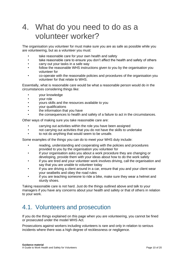### <span id="page-9-0"></span>4. What do you need to do as a volunteer worker?

The organisation you volunteer for must make sure you are as safe as possible while you are volunteering, but as a volunteer you must:

- take reasonable care for your own health and safety
- take reasonable care to ensure you don't affect the health and safety of others
- carry out your tasks in a safe way
- follow the reasonable WHS instructions given to you by the organisation you volunteer for
- co-operate with the reasonable policies and procedures of the organisation you volunteer for that relate to WHS.

Essentially, what is reasonable care would be what a reasonable person would do in the circumstances considering things like:

- your knowledge
- your role
- yours skills and the resources available to you
- your qualifications
- the information that you have
- the consequences to health and safety of a failure to act in the circumstances.

Other ways of making sure you take reasonable care are:

- carrying out activities within the role you have been assigned
- not carrying out activities that you do not have the skills to undertake
- to not do anything that would seem to be unsafe.

Some examples of the things you can do to meet your WHS duty include:

- reading, understanding and cooperating with the policies and procedures provided to you by the organisation you volunteer for
- if your organisation asks you about a work procedure they are changing or developing, provide them with your ideas about how to do the work safely
- if you are tired and your volunteer work involves driving, call the organisation and say that you are unable to volunteer today
- if you are driving a client around in a car, ensure that you and your client wear your seatbelts and obey the road rules
- if you are teaching someone to ride a bike, make sure they wear a helmet and sturdy shoes.

Taking reasonable care is not hard. Just do the things outlined above and talk to your managers if you have any concerns about your health and safety or that of others in relation to your work.

### <span id="page-9-1"></span>4.1. Volunteers and prosecution

If you do the things explained on this page when you are volunteering, you cannot be fined or prosecuted under the model WHS Act.

Prosecutions against workers including volunteers is rare and only in relation to serious incidents where there was a high degree of recklessness or negligence.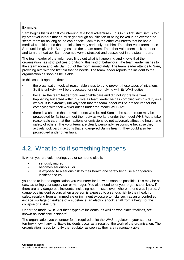#### **Example:**

Sam begins his first shift volunteering at a local adventure club. On his first shift Sam is told by other volunteers that he must go through an initiation of being locked in an overheated steam room for as long as he can handle. Sam tells the other volunteers that he has a medical condition and that the initiation may seriously hurt him. The other volunteers tease Sam until he gives in. Sam goes into the steam room. The other volunteers lock the door and turn the heat up. Sam becomes very distressed and passes out in the steam room.

The team leader of the volunteers finds out what is happening and knows that the organisation has strict policies prohibiting this kind of behaviour. The team leader rushes to the steam room and lets Sam out of the room immediately. The team leader attends to Sam, providing him with the first aid that he needs. The team leader reports the incident to the organisation as soon as he is able.

In this case, it appears that:

- the organisation took all reasonable steps to try to prevent these types of initiations. So it is unlikely it will be prosecuted for not complying with its WHS duties.
- because the team leader took reasonable care and did not ignore what was happening but acted within his role as team leader he has complied with his duty as a worker. It is extremely unlikely then that the team leader will be prosecuted for not complying with their worker duties under the model WHS Act.
- there is a chance that the volunteers who locked Sam in the steam room may be prosecuted for failing to meet their duty as workers under the model WHS Act to take reasonable care that their actions or omissions do not adversely affect the health and safety of others. The volunteers are clearly personally responsible because they actively took part in actions that endangered Sam's health. They could also be prosecuted under other laws.

### <span id="page-10-0"></span>4.2. What to do if something happens

If, when you are volunteering, you or someone else is:

- seriously injured,
- becomes seriously ill, or
- is exposed to a serious risk to their health and safety because a dangerous incident occurs

you need to let the organisation you volunteer for know as soon as possible. This may be as easy as telling your supervisor or manager. You also need to let your organisation know if there are any dangerous incidents, including near misses even where no one was injured. A dangerous incident occurs when a person is exposed to a serious risk to their health or safety resulting from an immediate or imminent exposure to risks such as an uncontrolled escape, spillage or leakage of a substance, an electric shock, a fall from a height or the collapse of a structure.

Under the model WHS Act these types of incidents, as well as workplace fatalities, are known as 'notifiable incidents'.

The organisation you volunteer for is required to let the WHS regulator in your state or territory know if any notifiable incidents occur as a result of the work of the organisation. The organisation needs to notify the regulator as soon as they are reasonably able.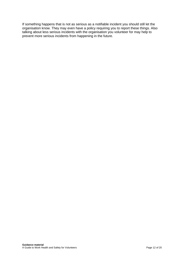If something happens that is not as serious as a notifiable incident you should still let the organisation know. They may even have a policy requiring you to report these things. Also talking about less serious incidents with the organisation you volunteer for may help to prevent more serious incidents from happening in the future.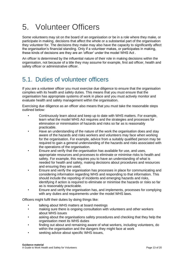## <span id="page-12-0"></span>5. Volunteer Officers

Some volunteers may sit on the board of an organisation or be in a role where they make, or participate in making, decisions that affect the whole or a substantial part of the organisation they volunteer for. The decisions they make may also have the capacity to significantly affect the organisation's financial standing. Only if a volunteer makes, or participates in making, these kinds of decisions are they are an 'officer' under the model WHS Act .

An officer is determined by the influential nature of their role in making decisions within the organisation, not because of a title they may assume for example, first aid officer, health and safety officer or administrative officer.

### <span id="page-12-1"></span>5.1. Duties of volunteer officers

If you are a volunteer officer you must exercise due diligence to ensure that the organisation complies with its health and safety duties. This means that you must ensure that the organisation has appropriate systems of work in place and you must actively monitor and evaluate health and safety management within the organisation.

Exercising due diligence as an officer also means that you must take the reasonable steps outlined below:

- Continuously learn about and keep up to date with WHS matters. For example, learn what the model WHS Act requires and the strategies and processes for elimination or minimisation of hazards and risks so far as is reasonably practicable.
- Have an understanding of the nature of the work the organisation does and stay aware of the hazards and risks workers and volunteers may face when working for the organisation. For example, advice from a suitably qualified person may be required to gain a general understanding of the hazards and risks associated with the operations of the organisation.
- Ensure and verify that the organisation has available for use, and uses, appropriate resources and processes to eliminate or minimise risks to health and safety. For example, this requires you to have an understanding of what is needed for health and safety, making decisions about procedures and resources and ensuring they are used.
- Ensure and verify the organisation has processes in place for communicating and considering information regarding WHS and responding to that information. This should include the reporting of incidents and emerging hazards and risks, identifying if action is required to eliminate or minimise the hazards or risks so far as is reasonably practicable.
- Ensure and verify the organisation has, and implements, processes for complying with any duties and requirements under the model WHS laws.

Officers might fulfil their duties by doing things like:

- talking about WHS matters at board meetings
- making sure there is ongoing consultation with volunteers and other workers about WHS issues
- asking about the organisations safety procedures and checking that they help the organisation meet its WHS duties
- finding out about and remaining aware of what workers, including volunteers, do within the organisation and the dangers they might face at work
- seeking advice about specific WHS issues,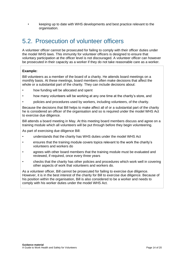• keeping up to date with WHS developments and best practice relevant to the organisation.

### <span id="page-13-0"></span>5.2. Prosecution of volunteer officers

A volunteer officer cannot be prosecuted for failing to comply with their officer duties under the model WHS laws. This immunity for volunteer officers is designed to ensure that voluntary participation at the officer level is not discouraged. A volunteer officer can however be prosecuted in their capacity as a worker if they do not take reasonable care as a worker.

#### **Example:**

Bill volunteers as a member of the board of a charity. He attends board meetings on a monthly basis. At these meetings, board members often make decisions that affect the whole or a substantial part of the charity. They can include decisions about:

- how funding will be allocated and spent
- how many volunteers will be working at any one time at the charity's store, and
- policies and procedures used by workers, including volunteers, of the charity.

Because the decisions that Bill helps to make affect all of or a substantial part of the charity he is considered an officer of the organisation and so is required under the model WHS Act to exercise due diligence.

Bill attends a board meeting in May. At this meeting board members discuss and agree on a training module which all volunteers will be put through before they begin volunteering.

As part of exercising due diligence Bill:

- understands that the charity has WHS duties under the model WHS Act
- ensures that the training module covers topics relevant to the work the charity's volunteers and workers do
- agrees with other board members that the training module must be evaluated and reviewed, if required, once every three years
- checks that the charity has other policies and procedures which work well in covering other aspects of work that volunteers and workers do.

As a volunteer officer, Bill cannot be prosecuted for failing to exercise due diligence. However, it is in the best interest of the charity for Bill to exercise due diligence. Because of his position within the organisation, Bill is also considered to be a worker and needs to comply with his worker duties under the model WHS Act.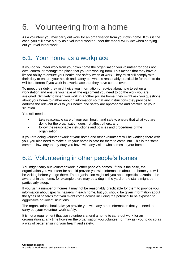## <span id="page-14-0"></span>6. Volunteering from a home

As a volunteer you may carry out work for an organisation from your own home. If this is the case, you still have a duty as a volunteer worker under the model WHS Act when carrying out your volunteer work.

### <span id="page-14-1"></span>6.1. Your home as a workplace

If you do volunteer work from your own home the organisation you volunteer for does not own, control or manage the place that you are working from. This means that they have a limited ability to ensure your health and safety when at work. They must still comply with their duty to ensure your health and safety but what is reasonably practicable for them to do will be different if you work in a workplace that they have control over.

To meet their duty they might give you information or advice about how to set up a workstation and ensure you have all the equipment you need to do the work you are assigned. Similarly to when you work in another private home, they might ask you questions about your home to gather enough information so that any instructions they provide to address the relevant risks to your health and safety are appropriate and practical to your situation.

You still need to:

- take reasonable care of your own health and safety, ensure that what you are doing for the organisation does not affect others, and
- follow the reasonable instructions and policies and procedures of the organisation.

If you are doing volunteer work at your home and other volunteers will be working there with you, you also need to make sure your home is safe for them to come into. This is the same common law, day-to day-duty you have with any visitor who comes to your home.

### <span id="page-14-2"></span>6.2. Volunteering in other people's homes

You might carry out volunteer work in other people's homes. If this is the case, the organisation you volunteer for should provide you with information about the home you will be visiting before you go there. The organisation might tell you about specific hazards to be aware of in the home, for example there may be a dog in the yard or the stairs might be particularly steep.

If you visit a number of homes it may not be reasonably practicable for them to provide you information about specific hazards in each home, but you should be given information about the types of hazards that you might come across including the potential to be exposed to aggressive or violent situations.

The organisation should always provide you with any other information that you need to carry out your volunteer work safely.

It is not a requirement that two volunteers attend a home to carry out work for an organisation at any time however the organisation you volunteer for may ask you to do so as a way of better ensuring your health and safety.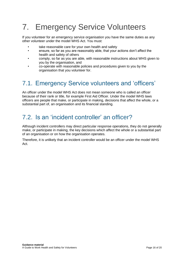## <span id="page-15-0"></span>7. Emergency Service Volunteers

If you volunteer for an emergency service organisation you have the same duties as any other volunteer under the model WHS Act. You must:

- take reasonable care for your own health and safety
- ensure, so far as you are reasonably able, that your actions don't affect the health and safety of others
- comply, so far as you are able, with reasonable instructions about WHS given to you by the organisation, and
- co-operate with reasonable policies and procedures given to you by the organisation that you volunteer for.

### <span id="page-15-1"></span>7.1. Emergency Service volunteers and 'officers'

An officer under the model WHS Act does not mean someone who is called an officer because of their rank or title, for example First Aid Officer. Under the model WHS laws officers are people that make, or participate in making, decisions that affect the whole, or a substantial part of, an organisation and its financial standing.

### <span id="page-15-2"></span>7.2. Is an 'incident controller' an officer?

Although incident controllers may direct particular response operations, they do not generally make, or participate in making, the key decisions which affect the whole or a substantial part of an organisation or on how the organisation operates.

Therefore, it is unlikely that an incident controller would be an officer under the model WHS Act.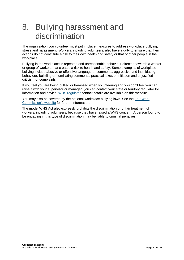## <span id="page-16-0"></span>8. Bullying harassment and discrimination

The organisation you volunteer must put in place measures to address workplace bullying, stress and harassment. Workers, including volunteers, also have a duty to ensure that their actions do not constitute a risk to their own health and safety or that of other people in the workplace.

Bullying in the workplace is repeated and unreasonable behaviour directed towards a worker or group of workers that creates a risk to health and safety. Some examples of workplace bullying include abusive or offensive language or comments, aggressive and intimidating behaviour, belittling or humiliating comments, practical jokes or initiation and unjustified criticism or complaints.

If you feel you are being bullied or harassed when volunteering and you don't feel you can raise it with your supervisor or manager, you can contact your state or territory regulator for information and advice. [WHS regulator](http://www.safeworkaustralia.gov.au/node/95) contact details are available on this website.

You may also be covered by the national workplace bullying laws. See the [Fair Work](https://www.fwc.gov.au/disputes-at-work/anti-bullying)  [Commission's website](https://www.fwc.gov.au/disputes-at-work/anti-bullying) for further information.

The model WHS Act also expressly prohibits the discrimination or unfair treatment of workers, including volunteers, because they have raised a WHS concern. A person found to be engaging in this type of discrimination may be liable to criminal penalties.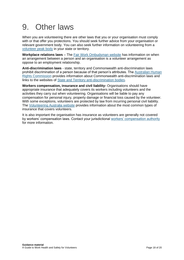## <span id="page-17-0"></span>9. Other laws

When you are volunteering there are other laws that you or your organisation must comply with or that offer you protections. You should seek further advice from your organisation or relevant government body. You can also seek further information on volunteering from a [volunteer peak body](https://www.safeworkaustralia.gov.au/volunteer-peak-bodies) in your state or territory.

**Workplace relations laws** – The [Fair Work Ombudsman website](https://www.fairwork.gov.au/how-we-will-help/templates-and-guides/fact-sheets/unpaid-work/unpaid-work) has information on when an arrangement between a person and an organisation is a volunteer arrangement as oppose to an employment relationship.

**Anti-discrimination laws** - state, territory and Commonwealth anti-discrimination laws prohibit discrimination of a person because of that person's attributes. The Australian Human [Rights Commission](https://humanrights.gov.au/) provides information about Commonwealth anti-discrimination laws and links to the websites of [State and Territory anti-discrimination bodies.](https://humanrights.gov.au/about/links-human-rights-organisations-and-resources#ad)

**Workers compensation, insurance and civil liability-** Organisations should have appropriate insurance that adequately covers its workers including volunteers and the activities they carry out when volunteering. Organisations will be liable to pay any compensation for personal injury, property damage or financial loss caused by the volunteer. With some exceptions, volunteers are protected by law from incurring personal civil liability. The [Volunteering Australia website](http://www.volunteeringaustralia.org/policy-and-best-practise/insurance/) provides information about the most common types of insurance that covers volunteers.

It is also important the organisation has insurance as volunteers are generally not covered by workers' compensation laws. Contact your jurisdictional [workers' compensation authority](https://www.safeworkaustralia.gov.au/covid-19-information-workplaces/industry-information/taxi-and-ride-share/workers-compensation) for more information.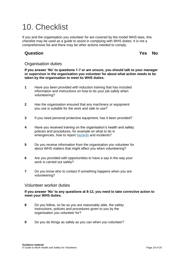## <span id="page-18-0"></span>10. Checklist

If you and the organisation you volunteer for are covered by the model WHS laws, this checklist may be used as a guide to assist in complying with WHS duties. It is not a comprehensive list and there may be other actions needed to comply.

#### **Question Yes No**

#### Organisation duties

**If you answer 'No' to questions 1-7 or are unsure, you should talk to your manager or supervisor in the organisation you volunteer for about what action needs to be taken by the organisation to meet its WHS duties.**

- **1** Have you been provided with induction training that has included information and instructions on how to do your job safely when volunteering?
- **2** Has the organisation ensured that any machinery or equipment you use is suitable for the work and safe to use?
- **3** If you need personal protective equipment, has it been provided?
- **4** Have you received training on the organisation's health and safety policies and procedures, for example on what to do in emergencies, how to report *[hazards](file:///C:/glossary%23hazards)* and incidents?
- **5** Do you receive information from the organisation you volunteer for about WHS matters that might affect you when volunteering?
- **6** Are you provided with opportunities to have a say in the way your work is carried out safely?
- **7** Do you know who to contact if something happens when you are volunteering?

#### Volunteer worker duties

#### **If you answer 'No' to any questions at 8-12, you need to take corrective action to meet your WHS duties.**

- **8** Do you follow, so far as you are reasonably able, the safety instructions, policies and procedures given to you by the organisation you volunteer for?
- **9** Do you do things as safely as you can when you volunteer?